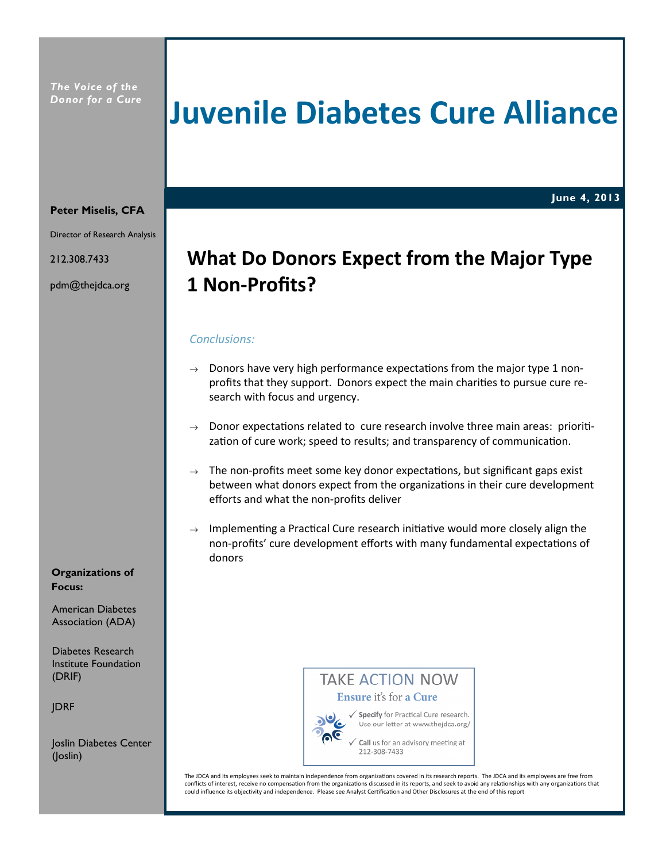# Juvenile Diabetes Cure Alliance

June 4, 2013

#### Peter Miselis, CFA

Director of Research Analysis

212.308.7433

pdm@thejdca.org

# What Do Donors Expect from the Major Type 1 Non-Profits?

# Conclusions:

- $\rightarrow$  Donors have very high performance expectations from the major type 1 nonprofits that they support. Donors expect the main charities to pursue cure research with focus and urgency.
- $\rightarrow$  Donor expectations related to cure research involve three main areas: prioritization of cure work; speed to results; and transparency of communication.
- $\rightarrow$  The non-profits meet some key donor expectations, but significant gaps exist between what donors expect from the organizations in their cure development efforts and what the non-profits deliver
- $\rightarrow$  Implementing a Practical Cure research initiative would more closely align the non-profits' cure development efforts with many fundamental expectations of donors

# Organizations of Focus:

American Diabetes Association (ADA)

Diabetes Research Institute Foundation (DRIF)

JDRF

Joslin Diabetes Center (Joslin)

**TAKE ACTION NOW** Ensure it's for a Cure



√ Specify for Practical Cure research. Use our letter at www.thejdca.org/

Call us for an advisory meeting at 212-308-7433

The JDCA and its employees seek to maintain independence from organizations covered in its research reports. The JDCA and its employees are free from conflicts of interest, receive no compensation from the organizations discussed in its reports, and seek to avoid any relationships with any organizations that could influence its objectivity and independence. Please see Analyst Certification and Other Disclosures at the end of this report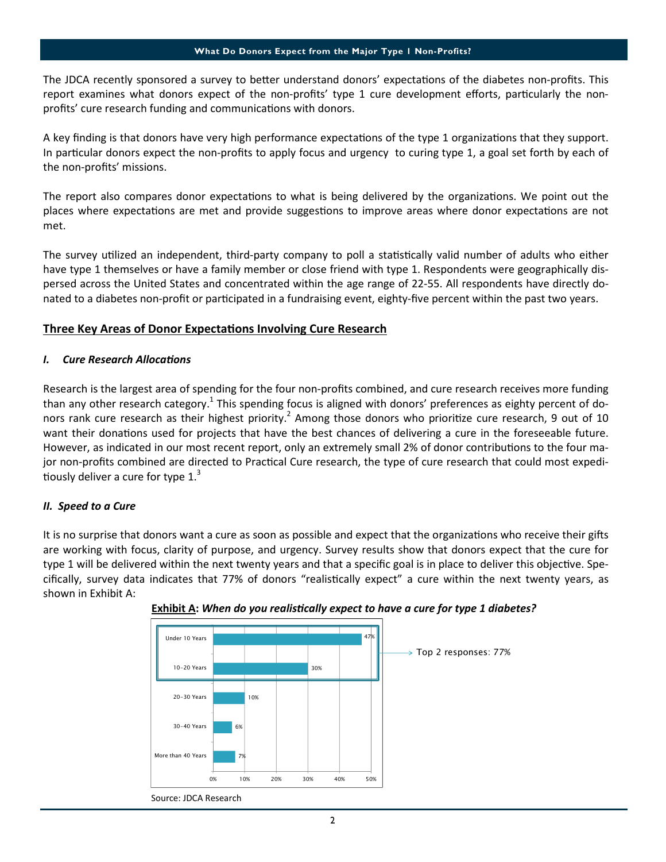The JDCA recently sponsored a survey to better understand donors' expectations of the diabetes non-profits. This report examines what donors expect of the non-profits' type 1 cure development efforts, particularly the nonprofits' cure research funding and communications with donors.

A key finding is that donors have very high performance expectations of the type 1 organizations that they support. In particular donors expect the non-profits to apply focus and urgency to curing type 1, a goal set forth by each of the non-profits' missions.

The report also compares donor expectations to what is being delivered by the organizations. We point out the places where expectations are met and provide suggestions to improve areas where donor expectations are not met.

The survey utilized an independent, third-party company to poll a statistically valid number of adults who either have type 1 themselves or have a family member or close friend with type 1. Respondents were geographically dispersed across the United States and concentrated within the age range of 22-55. All respondents have directly donated to a diabetes non-profit or participated in a fundraising event, eighty-five percent within the past two years.

# Three Key Areas of Donor Expectations Involving Cure Research

# I. Cure Research Allocations

Research is the largest area of spending for the four non-profits combined, and cure research receives more funding than any other research category.<sup>1</sup> This spending focus is aligned with donors' preferences as eighty percent of donors rank cure research as their highest priority.<sup>2</sup> Among those donors who prioritize cure research, 9 out of 10 want their donations used for projects that have the best chances of delivering a cure in the foreseeable future. However, as indicated in our most recent report, only an extremely small 2% of donor contributions to the four major non-profits combined are directed to Practical Cure research, the type of cure research that could most expeditiously deliver a cure for type 1. $3$ 

# II. Speed to a Cure

It is no surprise that donors want a cure as soon as possible and expect that the organizations who receive their gifts are working with focus, clarity of purpose, and urgency. Survey results show that donors expect that the cure for type 1 will be delivered within the next twenty years and that a specific goal is in place to deliver this objective. Specifically, survey data indicates that 77% of donors "realistically expect" a cure within the next twenty years, as shown in Exhibit A:



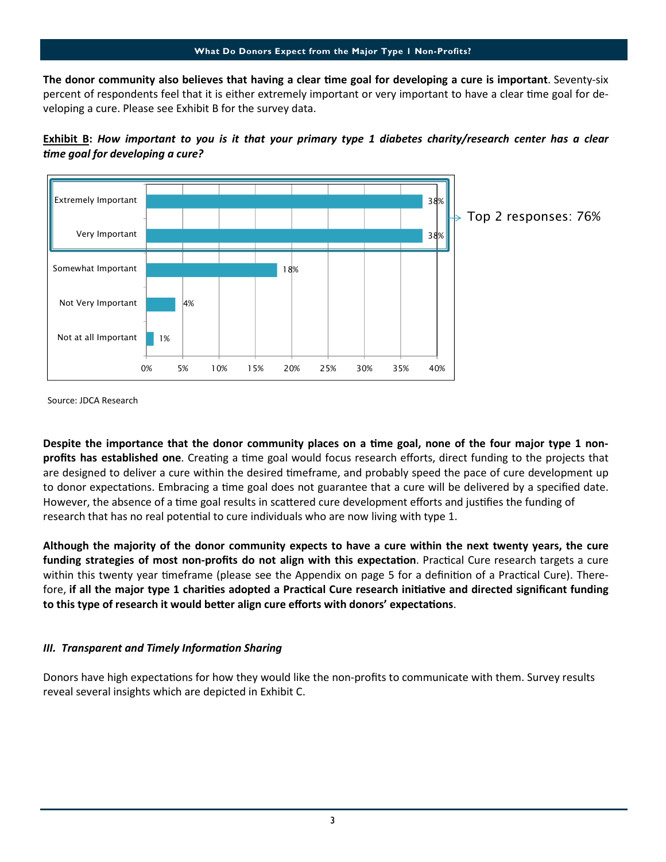The donor community also believes that having a clear time goal for developing a cure is important. Seventy-six percent of respondents feel that it is either extremely important or very important to have a clear time goal for developing a cure. Please see Exhibit B for the survey data.





Source: JDCA Research

Despite the importance that the donor community places on a time goal, none of the four major type 1 nonprofits has established one. Creating a time goal would focus research efforts, direct funding to the projects that are designed to deliver a cure within the desired timeframe, and probably speed the pace of cure development up to donor expectations. Embracing a time goal does not guarantee that a cure will be delivered by a specified date. However, the absence of a time goal results in scattered cure development efforts and justifies the funding of research that has no real potential to cure individuals who are now living with type 1.

Although the majority of the donor community expects to have a cure within the next twenty years, the cure funding strategies of most non-profits do not align with this expectation. Practical Cure research targets a cure within this twenty year timeframe (please see the Appendix on page 5 for a definition of a Practical Cure). Therefore, if all the major type 1 charities adopted a Practical Cure research initiative and directed significant funding to this type of research it would better align cure efforts with donors' expectations.

# III. Transparent and Timely Information Sharing

Donors have high expectations for how they would like the non-profits to communicate with them. Survey results reveal several insights which are depicted in Exhibit C.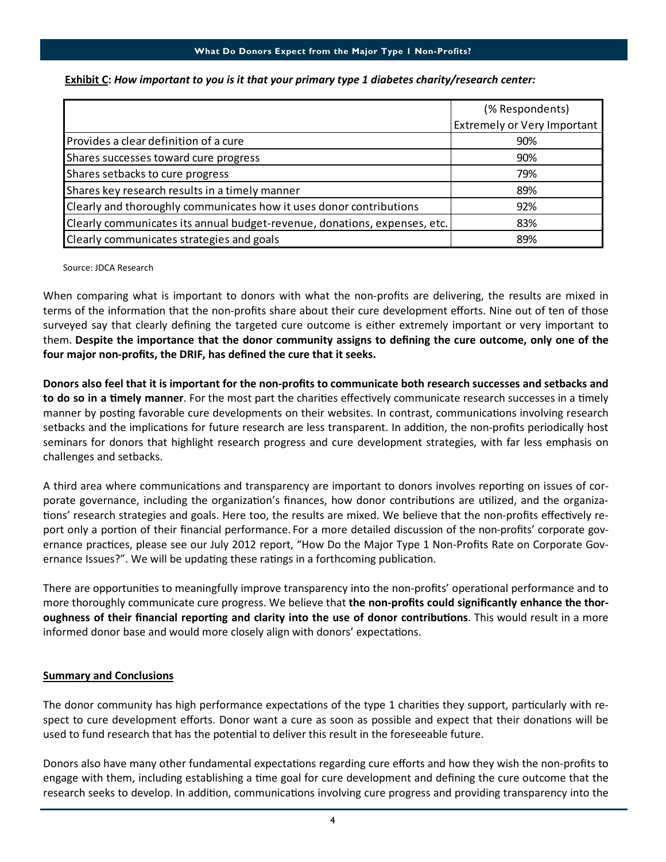# What Do Donors Expect from the Major Type 1 Non-Profits?

|                                                                           | (% Respondents)             |
|---------------------------------------------------------------------------|-----------------------------|
|                                                                           | Extremely or Very Important |
| Provides a clear definition of a cure                                     | 90%                         |
| Shares successes toward cure progress                                     | 90%                         |
| Shares setbacks to cure progress                                          | 79%                         |
| Shares key research results in a timely manner                            | 89%                         |
| Clearly and thoroughly communicates how it uses donor contributions       | 92%                         |
| Clearly communicates its annual budget-revenue, donations, expenses, etc. | 83%                         |
| Clearly communicates strategies and goals                                 | 89%                         |

# Exhibit C: How important to you is it that your primary type 1 diabetes charity/research center:

Source: JDCA Research

When comparing what is important to donors with what the non-profits are delivering, the results are mixed in terms of the information that the non-profits share about their cure development efforts. Nine out of ten of those surveyed say that clearly defining the targeted cure outcome is either extremely important or very important to them. Despite the importance that the donor community assigns to defining the cure outcome, only one of the four major non-profits, the DRIF, has defined the cure that it seeks.

Donors also feel that it is important for the non-profits to communicate both research successes and setbacks and to do so in a timely manner. For the most part the charities effectively communicate research successes in a timely manner by posting favorable cure developments on their websites. In contrast, communications involving research setbacks and the implications for future research are less transparent. In addition, the non-profits periodically host seminars for donors that highlight research progress and cure development strategies, with far less emphasis on challenges and setbacks.

A third area where communications and transparency are important to donors involves reporting on issues of corporate governance, including the organization's finances, how donor contributions are utilized, and the organizations' research strategies and goals. Here too, the results are mixed. We believe that the non-profits effectively report only a portion of their financial performance. For a more detailed discussion of the non-profits' corporate governance practices, please see our July 2012 report, "How Do the Major Type 1 Non-Profits Rate on Corporate Governance Issues?". We will be updating these ratings in a forthcoming publication.

There are opportunities to meaningfully improve transparency into the non-profits' operational performance and to more thoroughly communicate cure progress. We believe that the non-profits could significantly enhance the thoroughness of their financial reporting and clarity into the use of donor contributions. This would result in a more informed donor base and would more closely align with donors' expectations.

# **Summary and Conclusions**

The donor community has high performance expectations of the type 1 charities they support, particularly with respect to cure development efforts. Donor want a cure as soon as possible and expect that their donations will be used to fund research that has the potential to deliver this result in the foreseeable future.

Donors also have many other fundamental expectations regarding cure efforts and how they wish the non-profits to engage with them, including establishing a time goal for cure development and defining the cure outcome that the research seeks to develop. In addition, communications involving cure progress and providing transparency into the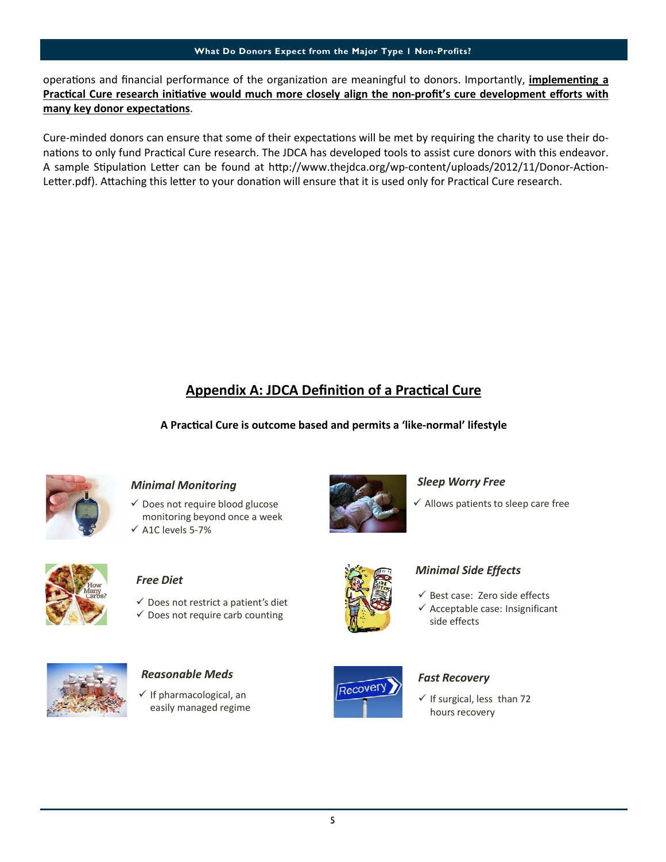### What Do Donors Expect from the Major Type 1 Non-Profits?

operations and financial performance of the organization are meaningful to donors. Importantly, implementing a Practical Cure research initiative would much more closely align the non-profit's cure development efforts with many key donor expectations.

Cure-minded donors can ensure that some of their expectations will be met by requiring the charity to use their donations to only fund Practical Cure research. The JDCA has developed tools to assist cure donors with this endeavor. A sample Stipulation Letter can be found at http://www.thejdca.org/wp-content/uploads/2012/11/Donor-Action-Letter.pdf). Attaching this letter to your donation will ensure that it is used only for Practical Cure research.

# Appendix A: JDCA Definition of a Practical Cure

A Practical Cure is outcome based and permits a 'like-normal' lifestyle



# Minimal Monitoring

 $\checkmark$  Does not require blood glucose monitoring beyond once a week  $\times$  A1C levels 5-7%



# Sleep Worry Free

 $\checkmark$  Allows patients to sleep care free



# Free Diet

- $\checkmark$  Does not restrict a patient's diet
- $\checkmark$  Does not require carb counting



 $\checkmark$  If pharmacological, an easily managed regime



# Minimal Side Effects

- $\checkmark$  Best case: Zero side effects
- $\checkmark$  Acceptable case: Insignificant side effects



 $\checkmark$  If surgical, less than 72 hours recovery